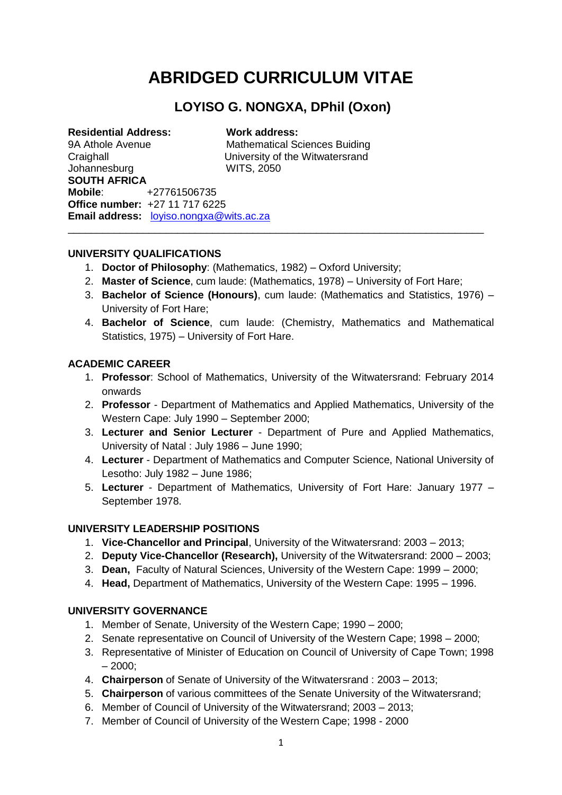# **ABRIDGED CURRICULUM VITAE**

# **LOYISO G. NONGXA, DPhil (Oxon)**

#### **Residential Address: Work address:**  9A Athole AvenueMathematical Sciences Buiding Craighall University of the Witwatersrand Johannesburg WITS, 2050 **SOUTH AFRICA Mobile**: +27761506735 **Office number:** +27 11 717 6225 **Email address:** [loyiso.nongxa@wits.ac.za](mailto:loyiso.nongxa@wits.ac.za) \_\_\_\_\_\_\_\_\_\_\_\_\_\_\_\_\_\_\_\_\_\_\_\_\_\_\_\_\_\_\_\_\_\_\_\_\_\_\_\_\_\_\_\_\_\_\_\_\_\_\_\_\_\_\_\_\_\_\_\_\_\_\_\_\_\_\_\_\_\_\_\_

# **UNIVERSITY QUALIFICATIONS**

- 1. **Doctor of Philosophy**: (Mathematics, 1982) Oxford University;
- 2. **Master of Science**, cum laude: (Mathematics, 1978) University of Fort Hare;
- 3. **Bachelor of Science (Honours)**, cum laude: (Mathematics and Statistics, 1976) University of Fort Hare;
- 4. **Bachelor of Science**, cum laude: (Chemistry, Mathematics and Mathematical Statistics, 1975) – University of Fort Hare.

# **ACADEMIC CAREER**

- 1. **Professor**: School of Mathematics, University of the Witwatersrand: February 2014 onwards
- 2. **Professor** Department of Mathematics and Applied Mathematics, University of the Western Cape: July 1990 – September 2000;
- 3. **Lecturer and Senior Lecturer** Department of Pure and Applied Mathematics, University of Natal : July 1986 – June 1990;
- 4. **Lecturer** Department of Mathematics and Computer Science, National University of Lesotho: July 1982 – June 1986;
- 5. **Lecturer** Department of Mathematics, University of Fort Hare: January 1977 September 1978.

# **UNIVERSITY LEADERSHIP POSITIONS**

- 1. **Vice-Chancellor and Principal**, University of the Witwatersrand: 2003 2013;
- 2. **Deputy Vice-Chancellor (Research),** University of the Witwatersrand: 2000 2003;
- 3. **Dean,** Faculty of Natural Sciences, University of the Western Cape: 1999 2000;
- 4. **Head,** Department of Mathematics, University of the Western Cape: 1995 1996.

# **UNIVERSITY GOVERNANCE**

- 1. Member of Senate, University of the Western Cape; 1990 2000;
- 2. Senate representative on Council of University of the Western Cape; 1998 2000;
- 3. Representative of Minister of Education on Council of University of Cape Town; 1998  $-2000;$
- 4. **Chairperson** of Senate of University of the Witwatersrand : 2003 2013;
- 5. **Chairperson** of various committees of the Senate University of the Witwatersrand;
- 6. Member of Council of University of the Witwatersrand; 2003 2013;
- 7. Member of Council of University of the Western Cape; 1998 2000